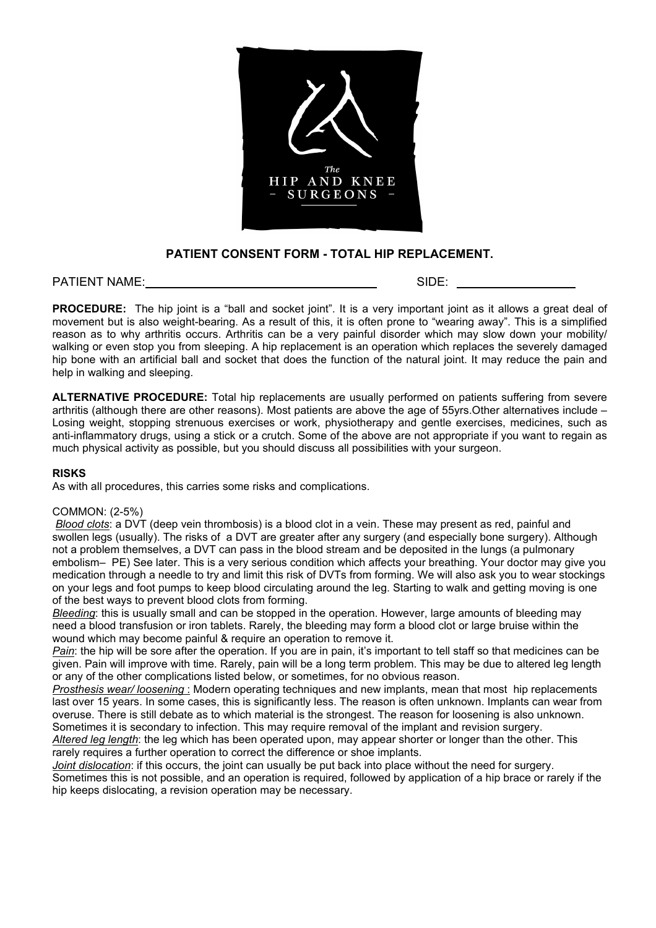

# **PATIENT CONSENT FORM - TOTAL HIP REPLACEMENT.**

PATIENT NAME: SIDE: SIDE: SIDE: SIDE: SIDE: SIDE: SIDE: SIDE: SIDE: SIDE: SIDE: SIDE: SIDE: SIDE: SIDE: SIDE: SIDE: SIDE: SIDE: SIDE: SIDE: SIDE: SIDE: SIDE: SIDE: SIDE: SIDE: SIDE: SIDE: SIDE: SIDE: SIDE: SIDE: SIDE: SIDE

**PROCEDURE:** The hip joint is a "ball and socket joint". It is a very important joint as it allows a great deal of movement but is also weight-bearing. As a result of this, it is often prone to "wearing away". This is a simplified reason as to why arthritis occurs. Arthritis can be a very painful disorder which may slow down your mobility/ walking or even stop you from sleeping. A hip replacement is an operation which replaces the severely damaged hip bone with an artificial ball and socket that does the function of the natural joint. It may reduce the pain and help in walking and sleeping.

**ALTERNATIVE PROCEDURE:** Total hip replacements are usually performed on patients suffering from severe arthritis (although there are other reasons). Most patients are above the age of 55yrs.Other alternatives include – Losing weight, stopping strenuous exercises or work, physiotherapy and gentle exercises, medicines, such as anti-inflammatory drugs, using a stick or a crutch. Some of the above are not appropriate if you want to regain as much physical activity as possible, but you should discuss all possibilities with your surgeon.

#### **RISKS**

As with all procedures, this carries some risks and complications.

#### COMMON: (2-5%)

*Blood clots*: a DVT (deep vein thrombosis) is a blood clot in a vein. These may present as red, painful and swollen legs (usually). The risks of a DVT are greater after any surgery (and especially bone surgery). Although not a problem themselves, a DVT can pass in the blood stream and be deposited in the lungs (a pulmonary embolism– PE) See later. This is a very serious condition which affects your breathing. Your doctor may give you medication through a needle to try and limit this risk of DVTs from forming. We will also ask you to wear stockings on your legs and foot pumps to keep blood circulating around the leg. Starting to walk and getting moving is one of the best ways to prevent blood clots from forming.

*Bleeding*: this is usually small and can be stopped in the operation. However, large amounts of bleeding may need a blood transfusion or iron tablets. Rarely, the bleeding may form a blood clot or large bruise within the wound which may become painful & require an operation to remove it.

*Pain*: the hip will be sore after the operation. If you are in pain, it's important to tell staff so that medicines can be given. Pain will improve with time. Rarely, pain will be a long term problem. This may be due to altered leg length or any of the other complications listed below, or sometimes, for no obvious reason.

*Prosthesis wear/ loosening* : Modern operating techniques and new implants, mean that most hip replacements last over 15 years. In some cases, this is significantly less. The reason is often unknown. Implants can wear from overuse. There is still debate as to which material is the strongest. The reason for loosening is also unknown. Sometimes it is secondary to infection. This may require removal of the implant and revision surgery.

*Altered leg length*: the leg which has been operated upon, may appear shorter or longer than the other. This rarely requires a further operation to correct the difference or shoe implants.

*Joint dislocation*: if this occurs, the joint can usually be put back into place without the need for surgery. Sometimes this is not possible, and an operation is required, followed by application of a hip brace or rarely if the hip keeps dislocating, a revision operation may be necessary.